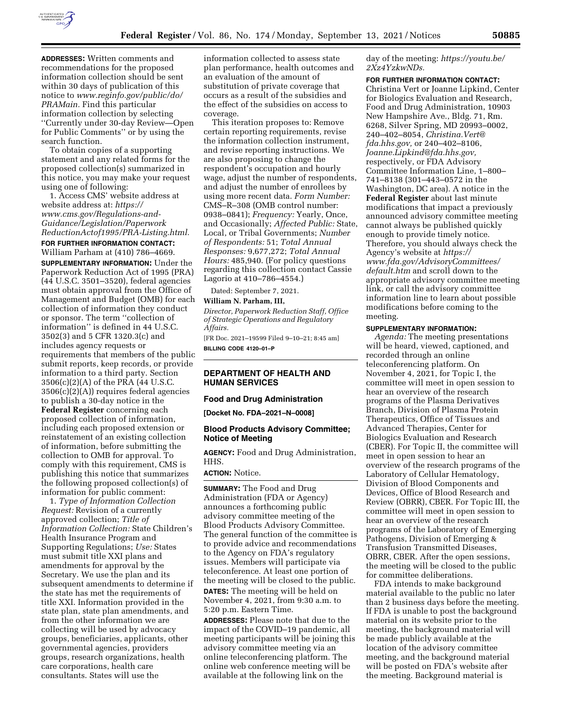

**ADDRESSES:** Written comments and recommendations for the proposed information collection should be sent within 30 days of publication of this notice to *[www.reginfo.gov/public/do/](http://www.reginfo.gov/public/do/PRAMain) [PRAMain.](http://www.reginfo.gov/public/do/PRAMain)* Find this particular information collection by selecting ''Currently under 30-day Review—Open for Public Comments'' or by using the search function.

To obtain copies of a supporting statement and any related forms for the proposed collection(s) summarized in this notice, you may make your request using one of following:

1. Access CMS' website address at website address at: *[https://](https://www.cms.gov/Regulations-and-Guidance/Legislation/PaperworkReductionActof1995/PRA-Listing.html) [www.cms.gov/Regulations-and-](https://www.cms.gov/Regulations-and-Guidance/Legislation/PaperworkReductionActof1995/PRA-Listing.html)[Guidance/Legislation/Paperwork](https://www.cms.gov/Regulations-and-Guidance/Legislation/PaperworkReductionActof1995/PRA-Listing.html) [ReductionActof1995/PRA-Listing.html.](https://www.cms.gov/Regulations-and-Guidance/Legislation/PaperworkReductionActof1995/PRA-Listing.html)*  **FOR FURTHER INFORMATION CONTACT:**  William Parham at (410) 786–4669.

**SUPPLEMENTARY INFORMATION:** Under the Paperwork Reduction Act of 1995 (PRA) (44 U.S.C. 3501–3520), federal agencies must obtain approval from the Office of Management and Budget (OMB) for each collection of information they conduct or sponsor. The term ''collection of information'' is defined in 44 U.S.C. 3502(3) and 5 CFR 1320.3(c) and includes agency requests or requirements that members of the public submit reports, keep records, or provide information to a third party. Section 3506(c)(2)(A) of the PRA (44 U.S.C. 3506(c)(2)(A)) requires federal agencies to publish a 30-day notice in the **Federal Register** concerning each proposed collection of information, including each proposed extension or reinstatement of an existing collection of information, before submitting the collection to OMB for approval. To comply with this requirement, CMS is publishing this notice that summarizes the following proposed collection(s) of information for public comment:

1. *Type of Information Collection Request:* Revision of a currently approved collection; *Title of Information Collection:* State Children's Health Insurance Program and Supporting Regulations; *Use:* States must submit title XXI plans and amendments for approval by the Secretary. We use the plan and its subsequent amendments to determine if the state has met the requirements of title XXI. Information provided in the state plan, state plan amendments, and from the other information we are collecting will be used by advocacy groups, beneficiaries, applicants, other governmental agencies, providers groups, research organizations, health care corporations, health care consultants. States will use the

information collected to assess state plan performance, health outcomes and an evaluation of the amount of substitution of private coverage that occurs as a result of the subsidies and the effect of the subsidies on access to coverage.

This iteration proposes to: Remove certain reporting requirements, revise the information collection instrument, and revise reporting instructions. We are also proposing to change the respondent's occupation and hourly wage, adjust the number of respondents, and adjust the number of enrollees by using more recent data. *Form Number:*  CMS–R–308 (OMB control number: 0938–0841); *Frequency:* Yearly, Once, and Occasionally; *Affected Public:* State, Local, or Tribal Governments; *Number of Respondents:* 51; *Total Annual Responses:* 9,677,272; *Total Annual Hours:* 485,940. (For policy questions regarding this collection contact Cassie Lagorio at 410–786–4554.)

Dated: September 7, 2021.

## **William N. Parham, III,**

*Director, Paperwork Reduction Staff, Office of Strategic Operations and Regulatory Affairs.* 

[FR Doc. 2021–19599 Filed 9–10–21; 8:45 am] **BILLING CODE 4120–01–P** 

## **DEPARTMENT OF HEALTH AND HUMAN SERVICES**

#### **Food and Drug Administration**

**[Docket No. FDA–2021–N–0008]** 

### **Blood Products Advisory Committee; Notice of Meeting**

**AGENCY:** Food and Drug Administration, HHS.

#### **ACTION:** Notice.

**SUMMARY:** The Food and Drug Administration (FDA or Agency) announces a forthcoming public advisory committee meeting of the Blood Products Advisory Committee. The general function of the committee is to provide advice and recommendations to the Agency on FDA's regulatory issues. Members will participate via teleconference. At least one portion of the meeting will be closed to the public. **DATES:** The meeting will be held on

November 4, 2021, from 9:30 a.m. to 5:20 p.m. Eastern Time.

**ADDRESSES:** Please note that due to the impact of the COVID–19 pandemic, all meeting participants will be joining this advisory committee meeting via an online teleconferencing platform. The online web conference meeting will be available at the following link on the

day of the meeting: *[https://youtu.be/](https://youtu.be/2Xz4YzkwNDs) [2Xz4YzkwNDs.](https://youtu.be/2Xz4YzkwNDs)* 

### **FOR FURTHER INFORMATION CONTACT:**

Christina Vert or Joanne Lipkind, Center for Biologics Evaluation and Research, Food and Drug Administration, 10903 New Hampshire Ave., Bldg. 71, Rm. 6268, Silver Spring, MD 20993–0002, 240–402–8054, *[Christina.Vert@](mailto:Christina.Vert@fda.hhs.gov) [fda.hhs.gov,](mailto:Christina.Vert@fda.hhs.gov)* or 240–402–8106, *[Joanne.Lipkind@fda.hhs.gov,](mailto:Joanne.Lipkind@fda.hhs.gov)*  respectively, or FDA Advisory Committee Information Line, 1–800– 741–8138 (301–443–0572 in the Washington, DC area). A notice in the **Federal Register** about last minute modifications that impact a previously announced advisory committee meeting cannot always be published quickly enough to provide timely notice. Therefore, you should always check the Agency's website at *[https://](https://www.fda.gov/AdvisoryCommittees/default.htm) [www.fda.gov/AdvisoryCommittees/](https://www.fda.gov/AdvisoryCommittees/default.htm)*  [default.htm](https://www.fda.gov/AdvisoryCommittees/default.htm) and scroll down to the appropriate advisory committee meeting link, or call the advisory committee information line to learn about possible modifications before coming to the meeting.

### **SUPPLEMENTARY INFORMATION:**

*Agenda:* The meeting presentations will be heard, viewed, captioned, and recorded through an online teleconferencing platform. On November 4, 2021, for Topic I, the committee will meet in open session to hear an overview of the research programs of the Plasma Derivatives Branch, Division of Plasma Protein Therapeutics, Office of Tissues and Advanced Therapies, Center for Biologics Evaluation and Research (CBER). For Topic II, the committee will meet in open session to hear an overview of the research programs of the Laboratory of Cellular Hematology, Division of Blood Components and Devices, Office of Blood Research and Review (OBRR), CBER. For Topic III, the committee will meet in open session to hear an overview of the research programs of the Laboratory of Emerging Pathogens, Division of Emerging & Transfusion Transmitted Diseases, OBRR, CBER. After the open sessions, the meeting will be closed to the public for committee deliberations.

FDA intends to make background material available to the public no later than 2 business days before the meeting. If FDA is unable to post the background material on its website prior to the meeting, the background material will be made publicly available at the location of the advisory committee meeting, and the background material will be posted on FDA's website after the meeting. Background material is